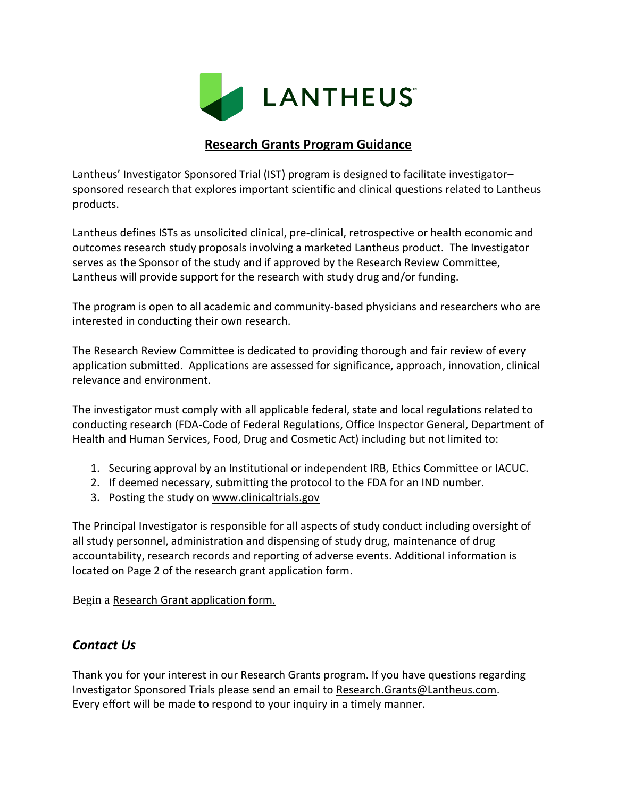

## **Research Grants Program Guidance**

Lantheus' Investigator Sponsored Trial (IST) program is designed to facilitate investigator– sponsored research that explores important scientific and clinical questions related to Lantheus products.

Lantheus defines ISTs as unsolicited clinical, pre-clinical, retrospective or health economic and outcomes research study proposals involving a marketed Lantheus product. The Investigator serves as the Sponsor of the study and if approved by the Research Review Committee, Lantheus will provide support for the research with study drug and/or funding.

The program is open to all academic and community-based physicians and researchers who are interested in conducting their own research.

The Research Review Committee is dedicated to providing thorough and fair review of every application submitted. Applications are assessed for significance, approach, innovation, clinical relevance and environment.

The investigator must comply with all applicable federal, state and local regulations related to conducting research (FDA-Code of Federal Regulations, Office Inspector General, Department of Health and Human Services, Food, Drug and Cosmetic Act) including but not limited to:

- 1. Securing approval by an Institutional or independent IRB, Ethics Committee or IACUC.
- 2. If deemed necessary, submitting the protocol to the FDA for an IND number.
- 3. Posting the study on [www.clinicaltrials.gov](http://www.clinicaltrials.gov/)

The Principal Investigator is responsible for all aspects of study conduct including oversight of all study personnel, administration and dispensing of study drug, maintenance of drug accountability, research records and reporting of adverse events. Additional information is located on Page 2 of the research grant application form.

Begin a [Research Grant application form.](https://www.lantheus.com/docs/2009%20IST%20Application%20Form%2027-May-09.doc)

## *Contact Us*

Thank you for your interest in our Research Grants program. If you have questions regarding Investigator Sponsored Trials please send an email to [Research.Grants@Lantheus.com.](mailto:Research.Grants@Lantheus.com) Every effort will be made to respond to your inquiry in a timely manner.